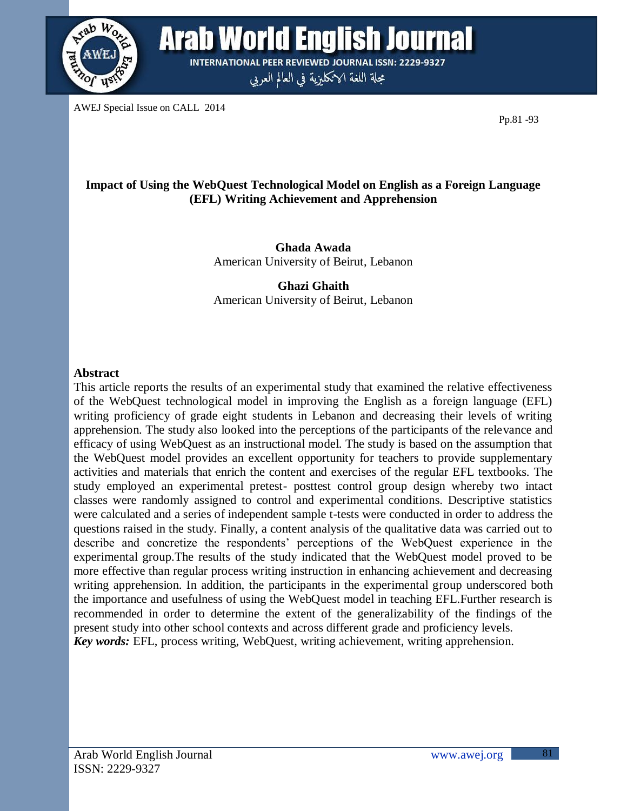

**Arab World English Journal INTERNATIONAL PEER REVIEWED JOURNAL ISSN: 2229-9327** 

مجلة اللغة الانكليزية في العالم العربي

AWEJ Special Issue on CALL 2014

Pp.81 -93

# **Impact of Using the WebQuest Technological Model on English as a Foreign Language (EFL) Writing Achievement and Apprehension**

**Ghada Awada** American University of Beirut, Lebanon

**Ghazi Ghaith** American University of Beirut, Lebanon

## **Abstract**

This article reports the results of an experimental study that examined the relative effectiveness of the WebQuest technological model in improving the English as a foreign language (EFL) writing proficiency of grade eight students in Lebanon and decreasing their levels of writing apprehension. The study also looked into the perceptions of the participants of the relevance and efficacy of using WebQuest as an instructional model. The study is based on the assumption that the WebQuest model provides an excellent opportunity for teachers to provide supplementary activities and materials that enrich the content and exercises of the regular EFL textbooks. The study employed an experimental pretest- posttest control group design whereby two intact classes were randomly assigned to control and experimental conditions. Descriptive statistics were calculated and a series of independent sample t-tests were conducted in order to address the questions raised in the study. Finally, a content analysis of the qualitative data was carried out to describe and concretize the respondents" perceptions of the WebQuest experience in the experimental group.The results of the study indicated that the WebQuest model proved to be more effective than regular process writing instruction in enhancing achievement and decreasing writing apprehension. In addition, the participants in the experimental group underscored both the importance and usefulness of using the WebQuest model in teaching EFL.Further research is recommended in order to determine the extent of the generalizability of the findings of the present study into other school contexts and across different grade and proficiency levels. *Key words:* EFL, process writing, WebQuest, writing achievement, writing apprehension.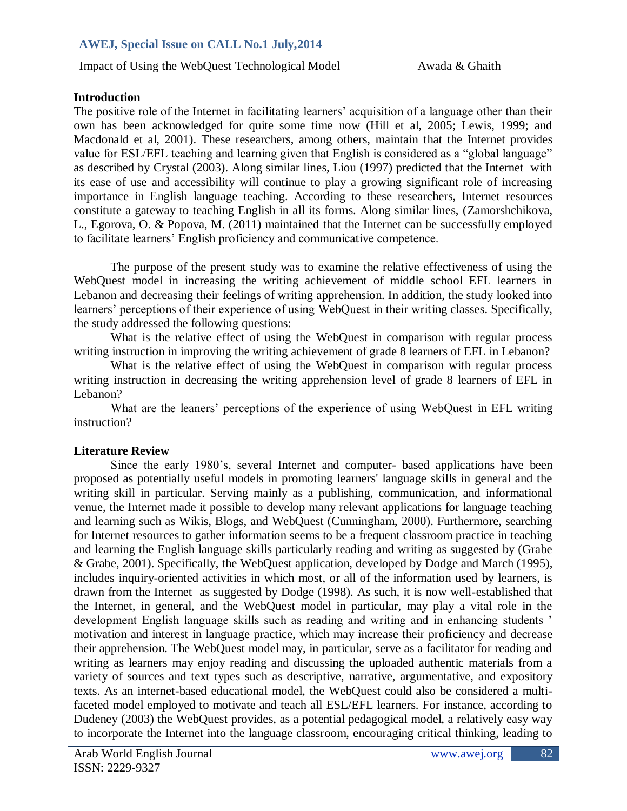## **Introduction**

The positive role of the Internet in facilitating learners' acquisition of a language other than their own has been acknowledged for quite some time now (Hill et al, 2005; Lewis, 1999; and Macdonald et al, 2001). These researchers, among others, maintain that the Internet provides value for ESL/EFL teaching and learning given that English is considered as a "global language" as described by Crystal (2003). Along similar lines, Liou (1997) predicted that the Internet with its ease of use and accessibility will continue to play a growing significant role of increasing importance in English language teaching. According to these researchers, Internet resources constitute a gateway to teaching English in all its forms. Along similar lines, (Zamorshchikova, L., Egorova, O. & Popova, M. (2011) maintained that the Internet can be successfully employed to facilitate learners" English proficiency and communicative competence.

The purpose of the present study was to examine the relative effectiveness of using the WebQuest model in increasing the writing achievement of middle school EFL learners in Lebanon and decreasing their feelings of writing apprehension. In addition, the study looked into learners' perceptions of their experience of using WebQuest in their writing classes. Specifically, the study addressed the following questions:

What is the relative effect of using the WebQuest in comparison with regular process writing instruction in improving the writing achievement of grade 8 learners of EFL in Lebanon?

What is the relative effect of using the WebQuest in comparison with regular process writing instruction in decreasing the writing apprehension level of grade 8 learners of EFL in Lebanon?

What are the leaners' perceptions of the experience of using WebQuest in EFL writing instruction?

## **Literature Review**

Since the early 1980"s, several Internet and computer- based applications have been proposed as potentially useful models in promoting learners' language skills in general and the writing skill in particular. Serving mainly as a publishing, communication, and informational venue, the Internet made it possible to develop many relevant applications for language teaching and learning such as Wikis, Blogs, and WebQuest (Cunningham, 2000). Furthermore, searching for Internet resources to gather information seems to be a frequent classroom practice in teaching and learning the English language skills particularly reading and writing as suggested by (Grabe & Grabe, 2001). Specifically, the WebQuest application, developed by Dodge and March (1995), includes inquiry-oriented activities in which most, or all of the information used by learners, is drawn from the Internet as suggested by Dodge (1998). As such, it is now well-established that the Internet, in general, and the WebQuest model in particular, may play a vital role in the development English language skills such as reading and writing and in enhancing students ' motivation and interest in language practice, which may increase their proficiency and decrease their apprehension. The WebQuest model may, in particular, serve as a facilitator for reading and writing as learners may enjoy reading and discussing the uploaded authentic materials from a variety of sources and text types such as descriptive, narrative, argumentative, and expository texts. As an internet-based educational model, the WebQuest could also be considered a multifaceted model employed to motivate and teach all ESL/EFL learners. For instance, according to Dudeney (2003) the WebQuest provides, as a potential pedagogical model, a relatively easy way to incorporate the Internet into the language classroom, encouraging critical thinking, leading to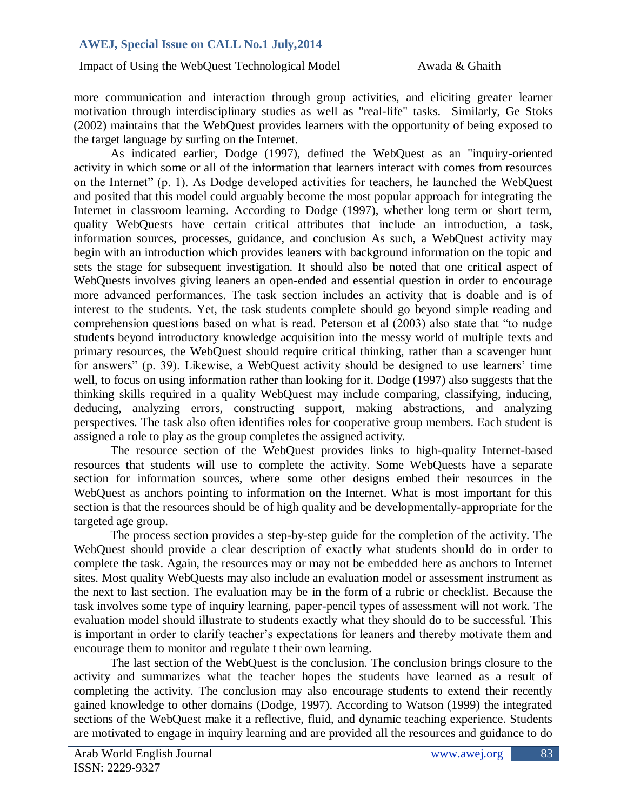more communication and interaction through group activities, and eliciting greater learner motivation through interdisciplinary studies as well as "real-life" tasks. Similarly, Ge Stoks (2002) maintains that the WebQuest provides learners with the opportunity of being exposed to the target language by surfing on the Internet.

As indicated earlier, Dodge (1997), defined the WebQuest as an "inquiry-oriented activity in which some or all of the information that learners interact with comes from resources on the Internet" (p. 1). As Dodge developed activities for teachers, he launched the WebQuest and posited that this model could arguably become the most popular approach for integrating the Internet in classroom learning. According to Dodge (1997), whether long term or short term, quality WebQuests have certain critical attributes that include an introduction, a task, information sources, processes, guidance, and conclusion As such, a WebQuest activity may begin with an introduction which provides leaners with background information on the topic and sets the stage for subsequent investigation. It should also be noted that one critical aspect of WebQuests involves giving leaners an open-ended and essential question in order to encourage more advanced performances. The task section includes an activity that is doable and is of interest to the students. Yet, the task students complete should go beyond simple reading and comprehension questions based on what is read. Peterson et al (2003) also state that "to nudge students beyond introductory knowledge acquisition into the messy world of multiple texts and primary resources, the WebQuest should require critical thinking, rather than a scavenger hunt for answers" (p. 39). Likewise, a WebQuest activity should be designed to use learners" time well, to focus on using information rather than looking for it. Dodge (1997) also suggests that the thinking skills required in a quality WebQuest may include comparing, classifying, inducing, deducing, analyzing errors, constructing support, making abstractions, and analyzing perspectives. The task also often identifies roles for cooperative group members. Each student is assigned a role to play as the group completes the assigned activity.

The resource section of the WebQuest provides links to high-quality Internet-based resources that students will use to complete the activity. Some WebQuests have a separate section for information sources, where some other designs embed their resources in the WebQuest as anchors pointing to information on the Internet. What is most important for this section is that the resources should be of high quality and be developmentally-appropriate for the targeted age group.

The process section provides a step-by-step guide for the completion of the activity. The WebQuest should provide a clear description of exactly what students should do in order to complete the task. Again, the resources may or may not be embedded here as anchors to Internet sites. Most quality WebQuests may also include an evaluation model or assessment instrument as the next to last section. The evaluation may be in the form of a rubric or checklist. Because the task involves some type of inquiry learning, paper-pencil types of assessment will not work. The evaluation model should illustrate to students exactly what they should do to be successful. This is important in order to clarify teacher's expectations for leaners and thereby motivate them and encourage them to monitor and regulate t their own learning.

The last section of the WebQuest is the conclusion. The conclusion brings closure to the activity and summarizes what the teacher hopes the students have learned as a result of completing the activity. The conclusion may also encourage students to extend their recently gained knowledge to other domains (Dodge, 1997). According to Watson (1999) the integrated sections of the WebQuest make it a reflective, fluid, and dynamic teaching experience. Students are motivated to engage in inquiry learning and are provided all the resources and guidance to do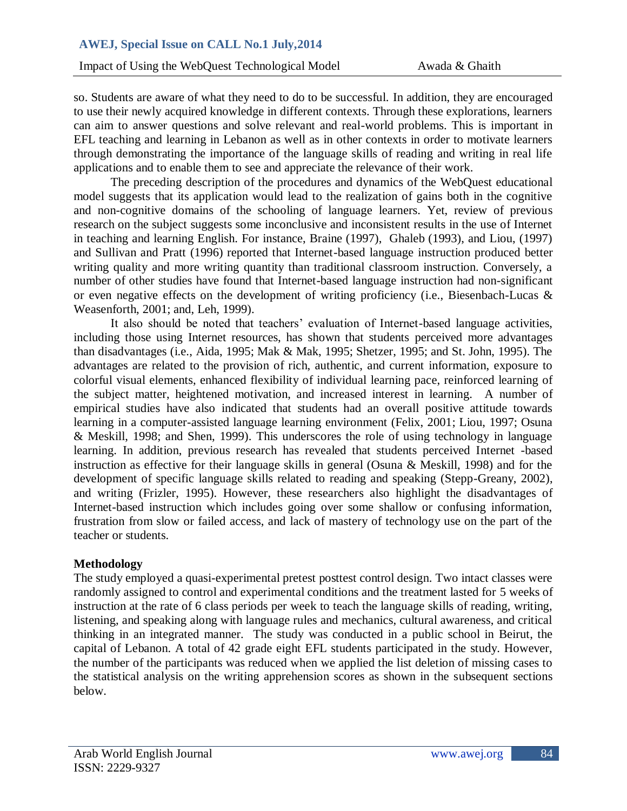# **AWEJ, Special Issue on CALL No.1 July,2014**

**Impact of Using the WebQuest Technological Model Awada & Ghaith** 

so. Students are aware of what they need to do to be successful. In addition, they are encouraged to use their newly acquired knowledge in different contexts. Through these explorations, learners can aim to answer questions and solve relevant and real-world problems. This is important in EFL teaching and learning in Lebanon as well as in other contexts in order to motivate learners through demonstrating the importance of the language skills of reading and writing in real life applications and to enable them to see and appreciate the relevance of their work.

The preceding description of the procedures and dynamics of the WebQuest educational model suggests that its application would lead to the realization of gains both in the cognitive and non-cognitive domains of the schooling of language learners. Yet, review of previous research on the subject suggests some inconclusive and inconsistent results in the use of Internet in teaching and learning English. For instance, Braine (1997), Ghaleb (1993), and Liou, (1997) and Sullivan and Pratt (1996) reported that Internet-based language instruction produced better writing quality and more writing quantity than traditional classroom instruction. Conversely, a number of other studies have found that Internet-based language instruction had non-significant or even negative effects on the development of writing proficiency (i.e., Biesenbach-Lucas & Weasenforth, 2001; and, Leh, 1999).

It also should be noted that teachers' evaluation of Internet-based language activities, including those using Internet resources, has shown that students perceived more advantages than disadvantages (i.e., Aida, 1995; Mak & Mak, 1995; Shetzer, 1995; and St. John, 1995). The advantages are related to the provision of rich, authentic, and current information, exposure to colorful visual elements, enhanced flexibility of individual learning pace, reinforced learning of the subject matter, heightened motivation, and increased interest in learning. A number of empirical studies have also indicated that students had an overall positive attitude towards learning in a computer-assisted language learning environment (Felix, 2001; Liou, 1997; Osuna & Meskill, 1998; and Shen, 1999). This underscores the role of using technology in language learning. In addition, previous research has revealed that students perceived Internet -based instruction as effective for their language skills in general (Osuna & Meskill, 1998) and for the development of specific language skills related to reading and speaking (Stepp-Greany, 2002), and writing (Frizler, 1995). However, these researchers also highlight the disadvantages of Internet-based instruction which includes going over some shallow or confusing information, frustration from slow or failed access, and lack of mastery of technology use on the part of the teacher or students.

## **Methodology**

The study employed a quasi-experimental pretest posttest control design. Two intact classes were randomly assigned to control and experimental conditions and the treatment lasted for 5 weeks of instruction at the rate of 6 class periods per week to teach the language skills of reading, writing, listening, and speaking along with language rules and mechanics, cultural awareness, and critical thinking in an integrated manner. The study was conducted in a public school in Beirut, the capital of Lebanon. A total of 42 grade eight EFL students participated in the study. However, the number of the participants was reduced when we applied the list deletion of missing cases to the statistical analysis on the writing apprehension scores as shown in the subsequent sections below.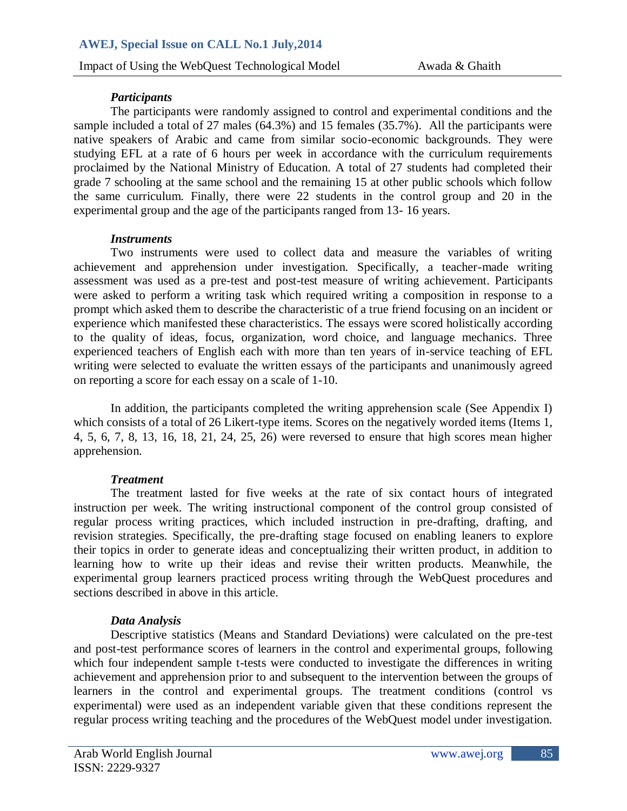## *Participants*

The participants were randomly assigned to control and experimental conditions and the sample included a total of 27 males (64.3%) and 15 females (35.7%). All the participants were native speakers of Arabic and came from similar socio-economic backgrounds. They were studying EFL at a rate of 6 hours per week in accordance with the curriculum requirements proclaimed by the National Ministry of Education. A total of 27 students had completed their grade 7 schooling at the same school and the remaining 15 at other public schools which follow the same curriculum. Finally, there were 22 students in the control group and 20 in the experimental group and the age of the participants ranged from 13- 16 years.

### *Instruments*

Two instruments were used to collect data and measure the variables of writing achievement and apprehension under investigation. Specifically, a teacher-made writing assessment was used as a pre-test and post-test measure of writing achievement. Participants were asked to perform a writing task which required writing a composition in response to a prompt which asked them to describe the characteristic of a true friend focusing on an incident or experience which manifested these characteristics. The essays were scored holistically according to the quality of ideas, focus, organization, word choice, and language mechanics. Three experienced teachers of English each with more than ten years of in-service teaching of EFL writing were selected to evaluate the written essays of the participants and unanimously agreed on reporting a score for each essay on a scale of 1-10.

In addition, the participants completed the writing apprehension scale (See Appendix I) which consists of a total of 26 Likert-type items. Scores on the negatively worded items (Items 1, 4, 5, 6, 7, 8, 13, 16, 18, 21, 24, 25, 26) were reversed to ensure that high scores mean higher apprehension.

## *Treatment*

The treatment lasted for five weeks at the rate of six contact hours of integrated instruction per week. The writing instructional component of the control group consisted of regular process writing practices, which included instruction in pre-drafting, drafting, and revision strategies. Specifically, the pre-drafting stage focused on enabling leaners to explore their topics in order to generate ideas and conceptualizing their written product, in addition to learning how to write up their ideas and revise their written products. Meanwhile, the experimental group learners practiced process writing through the WebQuest procedures and sections described in above in this article.

## *Data Analysis*

Descriptive statistics (Means and Standard Deviations) were calculated on the pre-test and post-test performance scores of learners in the control and experimental groups, following which four independent sample t-tests were conducted to investigate the differences in writing achievement and apprehension prior to and subsequent to the intervention between the groups of learners in the control and experimental groups. The treatment conditions (control vs experimental) were used as an independent variable given that these conditions represent the regular process writing teaching and the procedures of the WebQuest model under investigation.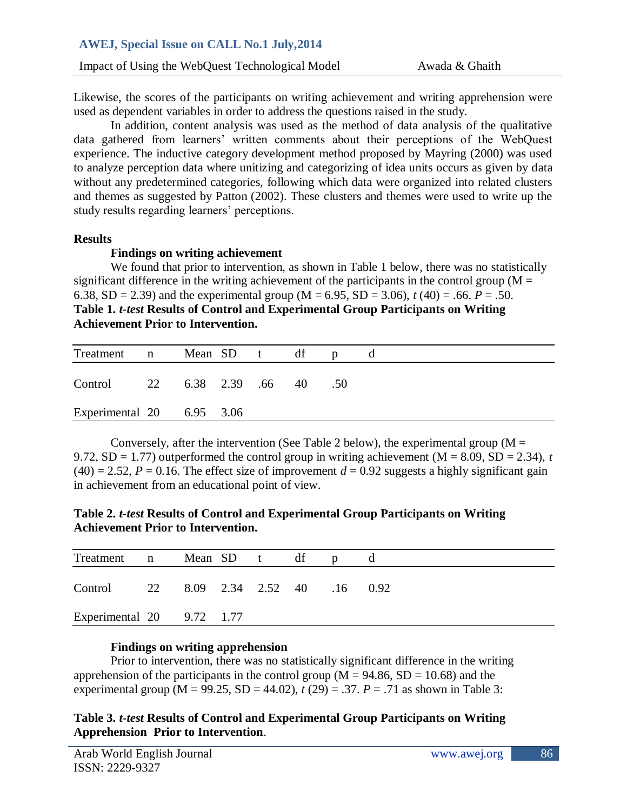Likewise, the scores of the participants on writing achievement and writing apprehension were used as dependent variables in order to address the questions raised in the study.

In addition, content analysis was used as the method of data analysis of the qualitative data gathered from learners" written comments about their perceptions of the WebQuest experience. The inductive category development method proposed by Mayring (2000) was used to analyze perception data where unitizing and categorizing of idea units occurs as given by data without any predetermined categories, following which data were organized into related clusters and themes as suggested by Patton (2002). These clusters and themes were used to write up the study results regarding learners' perceptions.

## **Results**

## **Findings on writing achievement**

We found that prior to intervention, as shown in Table 1 below, there was no statistically significant difference in the writing achievement of the participants in the control group ( $M =$ 6.38, SD = 2.39) and the experimental group ( $M = 6.95$ , SD = 3.06),  $t(40) = .66$ .  $P = .50$ . **Table 1.** *t-test* **Results of Control and Experimental Group Participants on Writing Achievement Prior to Intervention.**

| Treatment n Mean SD t df        |  |  |  |  |
|---------------------------------|--|--|--|--|
| Control 22 6.38 2.39 .66 40 .50 |  |  |  |  |
| Experimental $20$ 6.95 3.06     |  |  |  |  |

Conversely, after the intervention (See Table 2 below), the experimental group ( $M =$ 9.72, SD = 1.77) outperformed the control group in writing achievement ( $M = 8.09$ , SD = 2.34), *t*  $(40) = 2.52$ ,  $P = 0.16$ . The effect size of improvement  $d = 0.92$  suggests a highly significant gain in achievement from an educational point of view.

**Table 2.** *t-test* **Results of Control and Experimental Group Participants on Writing Achievement Prior to Intervention.**

| Treatment n Mean SD t df              |  |  |  |  |
|---------------------------------------|--|--|--|--|
| Control 22 8.09 2.34 2.52 40 .16 0.92 |  |  |  |  |
| Experimental $20$ 9.72 1.77           |  |  |  |  |

## **Findings on writing apprehension**

Prior to intervention, there was no statistically significant difference in the writing apprehension of the participants in the control group ( $M = 94.86$ ,  $SD = 10.68$ ) and the experimental group (M = 99.25, SD = 44.02),  $t(29) = .37$ .  $P = .71$  as shown in Table 3:

# **Table 3.** *t-test* **Results of Control and Experimental Group Participants on Writing Apprehension Prior to Intervention**.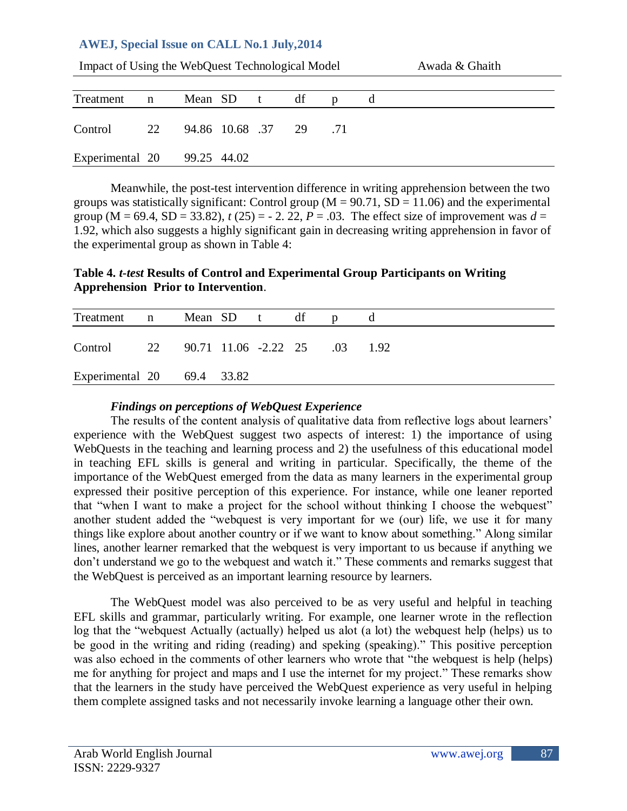# **AWEJ, Special Issue on CALL No.1 July,2014**

| Impact of Using the WebQuest Technological Model |             |                        |              | Awada & Ghaith |  |   |  |
|--------------------------------------------------|-------------|------------------------|--------------|----------------|--|---|--|
| Treatment                                        | $\mathbf n$ |                        | Mean SD t df |                |  | d |  |
| Control                                          | 22          | 94.86 10.68 .37 29 .71 |              |                |  |   |  |
| Experimental 20 99.25 44.02                      |             |                        |              |                |  |   |  |

Meanwhile, the post-test intervention difference in writing apprehension between the two groups was statistically significant: Control group ( $M = 90.71$ ,  $SD = 11.06$ ) and the experimental group (M = 69.4, SD = 33.82),  $t(25) = -2.22$ ,  $P = .03$ . The effect size of improvement was  $d =$ 1.92, which also suggests a highly significant gain in decreasing writing apprehension in favor of the experimental group as shown in Table 4:

# **Table 4.** *t-test* **Results of Control and Experimental Group Participants on Writing Apprehension Prior to Intervention**.

| Treatment n                              |  | Mean SD t df |  |  |
|------------------------------------------|--|--------------|--|--|
| Control 22 90.71 11.06 -2.22 25 .03 1.92 |  |              |  |  |
| Experimental 20 69.4 33.82               |  |              |  |  |

## *Findings on perceptions of WebQuest Experience*

The results of the content analysis of qualitative data from reflective logs about learners' experience with the WebQuest suggest two aspects of interest: 1) the importance of using WebQuests in the teaching and learning process and 2) the usefulness of this educational model in teaching EFL skills is general and writing in particular. Specifically, the theme of the importance of the WebQuest emerged from the data as many learners in the experimental group expressed their positive perception of this experience. For instance, while one leaner reported that "when I want to make a project for the school without thinking I choose the webquest" another student added the "webquest is very important for we (our) life, we use it for many things like explore about another country or if we want to know about something." Along similar lines, another learner remarked that the webquest is very important to us because if anything we don"t understand we go to the webquest and watch it." These comments and remarks suggest that the WebQuest is perceived as an important learning resource by learners.

The WebQuest model was also perceived to be as very useful and helpful in teaching EFL skills and grammar, particularly writing. For example, one learner wrote in the reflection log that the "webquest Actually (actually) helped us alot (a lot) the webquest help (helps) us to be good in the writing and riding (reading) and speking (speaking)." This positive perception was also echoed in the comments of other learners who wrote that "the webquest is help (helps) me for anything for project and maps and I use the internet for my project." These remarks show that the learners in the study have perceived the WebQuest experience as very useful in helping them complete assigned tasks and not necessarily invoke learning a language other their own.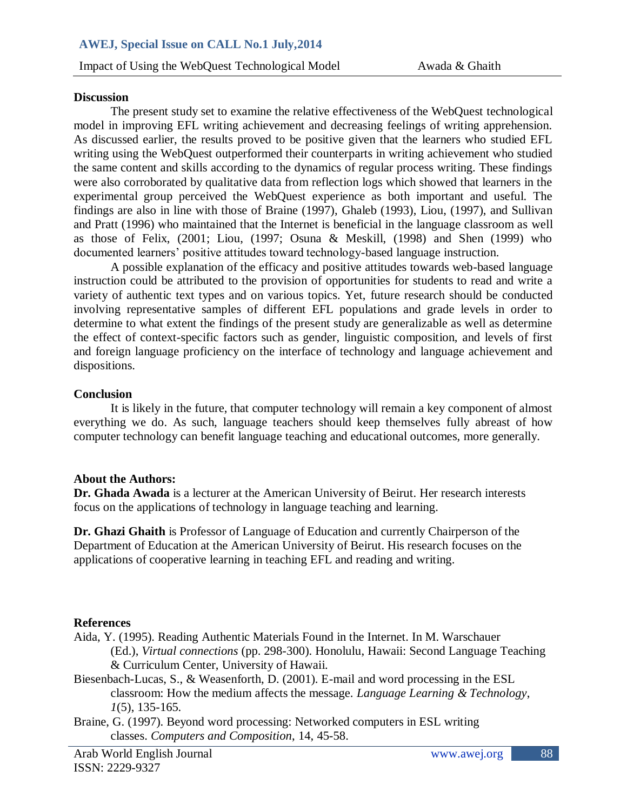## **Discussion**

The present study set to examine the relative effectiveness of the WebQuest technological model in improving EFL writing achievement and decreasing feelings of writing apprehension. As discussed earlier, the results proved to be positive given that the learners who studied EFL writing using the WebQuest outperformed their counterparts in writing achievement who studied the same content and skills according to the dynamics of regular process writing. These findings were also corroborated by qualitative data from reflection logs which showed that learners in the experimental group perceived the WebQuest experience as both important and useful. The findings are also in line with those of Braine (1997), Ghaleb (1993), Liou, (1997), and Sullivan and Pratt (1996) who maintained that the Internet is beneficial in the language classroom as well as those of Felix, (2001; Liou, (1997; Osuna & Meskill, (1998) and Shen (1999) who documented learners" positive attitudes toward technology-based language instruction.

A possible explanation of the efficacy and positive attitudes towards web-based language instruction could be attributed to the provision of opportunities for students to read and write a variety of authentic text types and on various topics. Yet, future research should be conducted involving representative samples of different EFL populations and grade levels in order to determine to what extent the findings of the present study are generalizable as well as determine the effect of context-specific factors such as gender, linguistic composition, and levels of first and foreign language proficiency on the interface of technology and language achievement and dispositions.

## **Conclusion**

It is likely in the future, that computer technology will remain a key component of almost everything we do. As such, language teachers should keep themselves fully abreast of how computer technology can benefit language teaching and educational outcomes, more generally.

### **About the Authors:**

**Dr. Ghada Awada** is a lecturer at the American University of Beirut. Her research interests focus on the applications of technology in language teaching and learning.

**Dr. Ghazi Ghaith** is Professor of Language of Education and currently Chairperson of the Department of Education at the American University of Beirut. His research focuses on the applications of cooperative learning in teaching EFL and reading and writing.

## **References**

- Aida, Y. (1995). Reading Authentic Materials Found in the Internet. In M. Warschauer (Ed.), *Virtual connections* (pp. 298-300). Honolulu, Hawaii: Second Language Teaching & Curriculum Center, University of Hawaii.
- Biesenbach-Lucas, S., & Weasenforth, D. (2001). E-mail and word processing in the ESL classroom: How the medium affects the message. *Language Learning & Technology*, *1*(5), 135-165.
- Braine, G. (1997). Beyond word processing: Networked computers in ESL writing classes. *Computers and Composition*, 14, 45-58.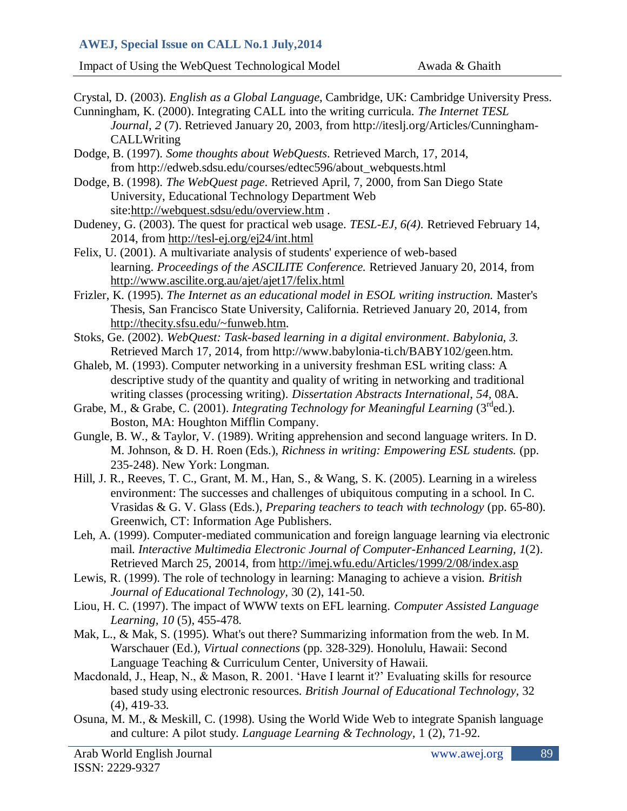# **AWEJ, Special Issue on CALL No.1 July,2014**

Impact of Using the WebQuest Technological Model Awada & Ghaith

- Crystal, D. (2003). *English as a Global Language*, Cambridge, UK: Cambridge University Press. Cunningham, K. (2000). Integrating CALL into the writing curricula. *The Internet TESL Journal, 2* (7). Retrieved January 20, 2003, from [http://iteslj.org/Articles/Cunningham-](http://iteslj.org/Articles/Cunningham-CALLWriting)**CALLWriting** Dodge, B. (1997). *Some thoughts about WebQuests*. Retrieved March, 17, 2014, from [http://edweb.sdsu.edu/courses/edtec596/about\\_webquests.html](http://edweb.sdsu.edu/courses/edtec596/about_webquests.html) Dodge, B. (1998). *The WebQuest page*. Retrieved April, 7, 2000, from San Diego State University, Educational Technology Department Web site[:http://webquest.sdsu/edu/overview.htm](http://webquest.sdsu/edu/overview.htm) . Dudeney, G. (2003). The quest for practical web usage. *TESL-EJ, 6(4).* Retrieved February 14, 2014, from <http://tesl-ej.org/ej24/int.html> Felix, U. (2001). A multivariate analysis of students' experience of web-based learning. *Proceedings of the ASCILITE Conference.* Retrieved January 20, 2014, from <http://www.ascilite.org.au/ajet/ajet17/felix.html> Frizler, K. (1995). *The Internet as an educational model in ESOL writing instruction.* Master's Thesis, San Francisco State University, California. Retrieved January 20, 2014, from [http://thecity.sfsu.edu/~funweb.htm.](http://thecity.sfsu.edu/~funweb.htm) Stoks, Ge. (2002). *WebQuest: Task-based learning in a digital environment*. *Babylonia, 3.* Retrieved March 17, 2014, from [http://www.babylonia-ti.ch/BABY102/geen.htm.](http://www.babylonia-ti.ch/BABY102/geen.htm) Ghaleb, M. (1993). Computer networking in a university freshman ESL writing class: A descriptive study of the quantity and quality of writing in networking and traditional writing classes (processing writing). *Dissertation Abstracts International*, *54,* 08A. Grabe, M., & Grabe, C. (2001). *Integrating Technology for Meaningful Learning* (3<sup>rd</sup>ed.). Boston, MA: Houghton Mifflin Company. Gungle, B. W., & Taylor, V. (1989). Writing apprehension and second language writers. In D. M. Johnson, & D. H. Roen (Eds.), *Richness in writing: Empowering ESL students.* (pp. 235-248). New York: Longman. Hill, J. R., Reeves, T. C., Grant, M. M., Han, S., & Wang, S. K. (2005). Learning in a wireless environment: The successes and challenges of ubiquitous computing in a school. In C. Vrasidas & G. V. Glass (Eds.), *Preparing teachers to teach with technology* (pp. 65-80). Greenwich, CT: Information Age Publishers. Leh, A. (1999). Computer-mediated communication and foreign language learning via electronic mail. *Interactive Multimedia Electronic Journal of Computer-Enhanced Learning, 1*(2). Retrieved March 25, 20014, from <http://imej.wfu.edu/Articles/1999/2/08/index.asp> Lewis, R. (1999). The role of technology in learning: Managing to achieve a vision. *British Journal of Educational Technology,* 30 (2), 141-50. Liou, H. C. (1997). The impact of WWW texts on EFL learning. *Computer Assisted Language Learning, 10* (5), 455-478. Mak, L., & Mak, S. (1995). What's out there? Summarizing information from the web. In M. Warschauer (Ed.), *Virtual connections* (pp. 328-329). Honolulu, Hawaii: Second Language Teaching & Curriculum Center, University of Hawaii. Macdonald, J., Heap, N., & Mason, R. 2001. 'Have I learnt it?' Evaluating skills for resource
- based study using electronic resources. *British Journal of Educational Technology,* 32 (4), 419-33.
- Osuna, M. M., & Meskill, C. (1998). Using the World Wide Web to integrate Spanish language and culture: A pilot study. *Language Learning & Technology,* 1 (2), 71-92.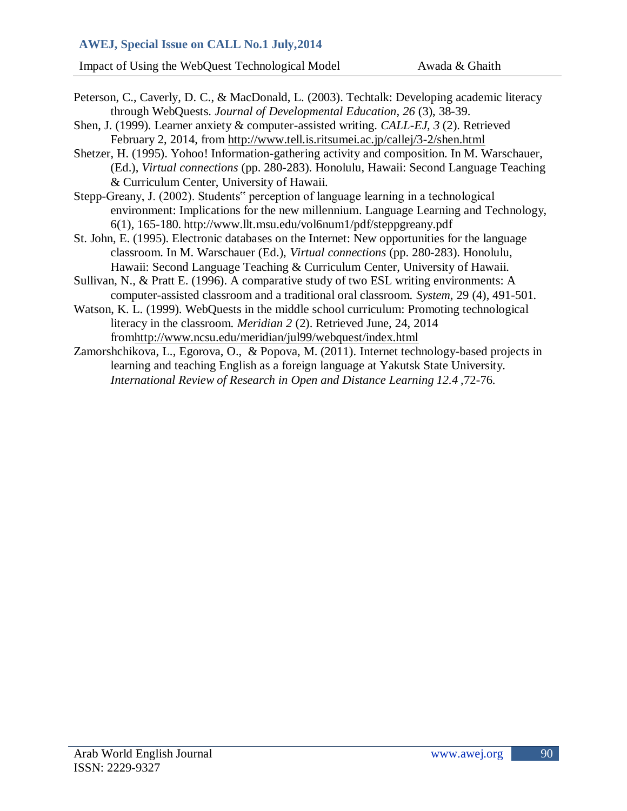- Peterson, C., Caverly, D. C., & MacDonald, L. (2003). Techtalk: Developing academic literacy through WebQuests. *Journal of Developmental Education, 26* (3), 38-39.
- Shen, J. (1999). Learner anxiety & computer-assisted writing. *CALL-EJ, 3* (2). Retrieved February 2, 2014, from <http://www.tell.is.ritsumei.ac.jp/callej/3-2/shen.html>
- Shetzer, H. (1995). Yohoo! Information-gathering activity and composition. In M. Warschauer, (Ed.), *Virtual connections* (pp. 280-283). Honolulu, Hawaii: Second Language Teaching & Curriculum Center, University of Hawaii.
- Stepp-Greany, J. (2002). Students" perception of language learning in a technological environment: Implications for the new millennium. Language Learning and Technology, 6(1), 165-180. http://www.llt.msu.edu/vol6num1/pdf/steppgreany.pdf
- St. John, E. (1995). Electronic databases on the Internet: New opportunities for the language classroom. In M. Warschauer (Ed.), *Virtual connections* (pp. 280-283). Honolulu, Hawaii: Second Language Teaching & Curriculum Center, University of Hawaii.
- Sullivan, N., & Pratt E. (1996). A comparative study of two ESL writing environments: A computer-assisted classroom and a traditional oral classroom. *System,* 29 (4), 491-501.
- Watson, K. L. (1999). WebQuests in the middle school curriculum: Promoting technological literacy in the classroom. *Meridian 2* (2). Retrieved June, 24, 2014 fro[mhttp://www.ncsu.edu/meridian/jul99/webquest/index.html](http://www.ncsu.edu/meridian/jul99/webquest/index.html)
- Zamorshchikova, L., Egorova, O., & Popova, M. (2011). Internet technology-based projects in learning and teaching English as a foreign language at Yakutsk State University. *[International Review of Research in Open and Distance Learning](http://search.proquest.com/eric/pubidlinkhandler/sng/pubtitle/International+Review+of+Research+in+Open+and+Distance+Learning/$N?accountid=8555) [12.4](http://search.proquest.com/eric/pubidlinkhandler/sng/pubtitle/International+Review+of+Research+in+Open+and+Distance+Learning/$N?accountid=8555)* ,72-76.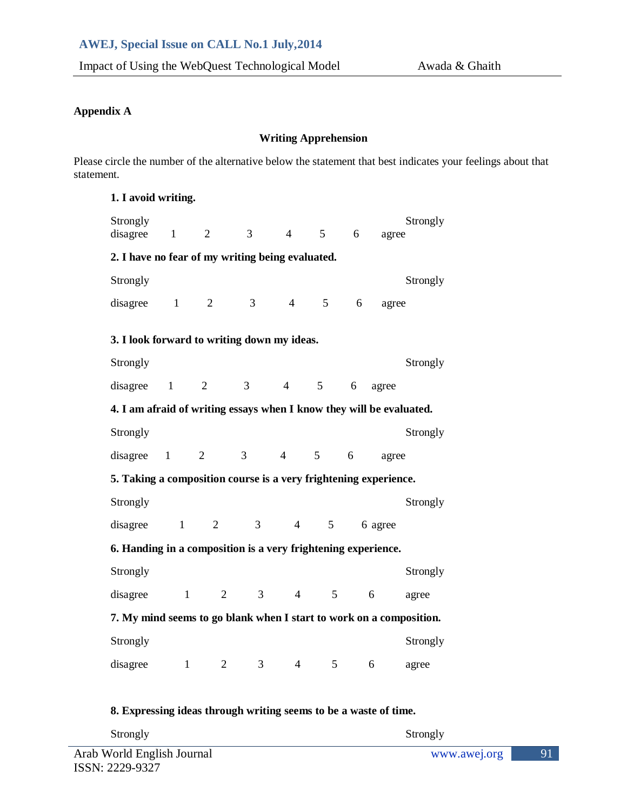### **Appendix A**

#### **Writing Apprehension**

Please circle the number of the alternative below the statement that best indicates your feelings about that statement.

| 1. I avoid writing.                                                  |              |                |                |                |                 |   |         |          |  |
|----------------------------------------------------------------------|--------------|----------------|----------------|----------------|-----------------|---|---------|----------|--|
| Strongly<br>disagree                                                 | $\mathbf{1}$ | $\overline{2}$ | 3              | $\overline{4}$ | 5 <sup>5</sup>  | 6 | agree   | Strongly |  |
| 2. I have no fear of my writing being evaluated.                     |              |                |                |                |                 |   |         |          |  |
| Strongly                                                             |              |                |                |                |                 |   |         | Strongly |  |
| disagree                                                             | $\mathbf{1}$ | $\overline{2}$ | 3              | $\overline{4}$ | 5 <sup>5</sup>  | 6 | agree   |          |  |
| 3. I look forward to writing down my ideas.                          |              |                |                |                |                 |   |         |          |  |
| Strongly                                                             |              |                |                |                |                 |   |         | Strongly |  |
| disagree                                                             | $\mathbf{1}$ | 2              | 3              | $\overline{4}$ | 5 <sup>5</sup>  | 6 | agree   |          |  |
| 4. I am afraid of writing essays when I know they will be evaluated. |              |                |                |                |                 |   |         |          |  |
| Strongly                                                             |              |                |                |                |                 |   |         | Strongly |  |
| disagree                                                             | $\mathbf{1}$ | $\overline{2}$ | 3 <sup>7</sup> | $\overline{4}$ | $5\overline{)}$ | 6 | agree   |          |  |
| 5. Taking a composition course is a very frightening experience.     |              |                |                |                |                 |   |         |          |  |
| Strongly                                                             |              |                |                |                |                 |   |         | Strongly |  |
| disagree                                                             | $\mathbf{1}$ | $\overline{2}$ | 3              | $\overline{4}$ | 5 <sup>5</sup>  |   | 6 agree |          |  |
| 6. Handing in a composition is a very frightening experience.        |              |                |                |                |                 |   |         |          |  |
| Strongly                                                             |              |                |                |                |                 |   |         | Strongly |  |
| disagree                                                             | $\mathbf{1}$ | 2              | $\overline{3}$ | $\overline{4}$ | 5 <sup>5</sup>  |   | 6       | agree    |  |
| 7. My mind seems to go blank when I start to work on a composition.  |              |                |                |                |                 |   |         |          |  |
| Strongly                                                             |              |                |                |                |                 |   |         | Strongly |  |
| disagree                                                             | $\mathbf{1}$ | $\mathfrak{2}$ | 3              | $\overline{4}$ | 5               |   | 6       | agree    |  |

# **8. Expressing ideas through writing seems to be a waste of time.**

| Strongly                   | Strongly     |  |
|----------------------------|--------------|--|
| Arab World English Journal | www.awej.org |  |
| teent. <u>aaan naa</u> t   |              |  |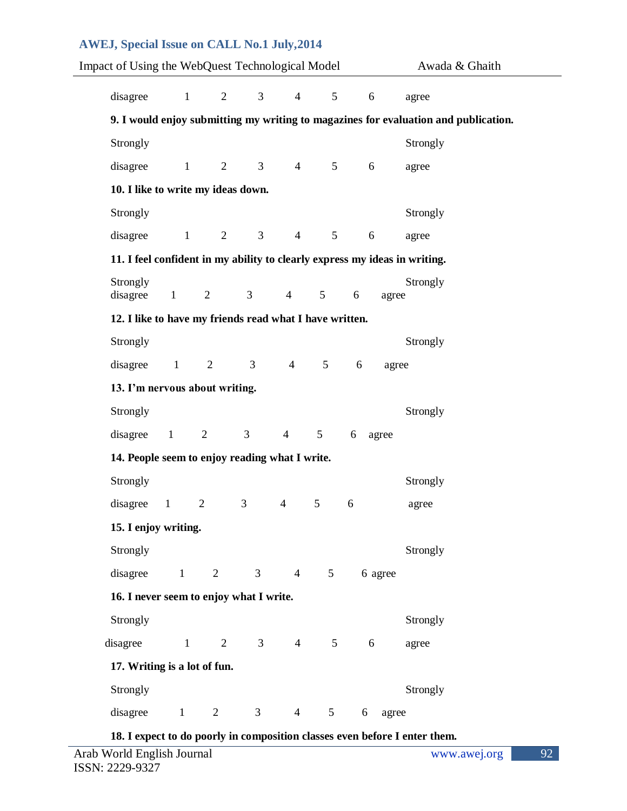| <b>AWEJ, Special Issue on CALL No.1 July, 2014</b>      |                |                   |                                  |                 |                                  |                     |                                                                                     |  |  |
|---------------------------------------------------------|----------------|-------------------|----------------------------------|-----------------|----------------------------------|---------------------|-------------------------------------------------------------------------------------|--|--|
| Impact of Using the WebQuest Technological Model        |                |                   |                                  |                 |                                  |                     | Awada & Ghaith                                                                      |  |  |
| disagree                                                | $\mathbf{1}$   |                   | 3 <sup>7</sup><br>$\overline{2}$ |                 | $\overline{4}$                   | 5 <sup>5</sup><br>6 | agree                                                                               |  |  |
|                                                         |                |                   |                                  |                 |                                  |                     | 9. I would enjoy submitting my writing to magazines for evaluation and publication. |  |  |
| Strongly                                                |                |                   |                                  |                 |                                  |                     | Strongly                                                                            |  |  |
|                                                         |                |                   |                                  |                 |                                  |                     |                                                                                     |  |  |
| disagree                                                | $\mathbf{1}$   | $\overline{2}$    | 3 <sup>7</sup>                   |                 | $\overline{4}$<br>5 <sup>5</sup> | 6                   | agree                                                                               |  |  |
| 10. I like to write my ideas down.                      |                |                   |                                  |                 |                                  |                     |                                                                                     |  |  |
| Strongly                                                |                |                   |                                  |                 |                                  |                     | Strongly                                                                            |  |  |
| disagree                                                |                | $1 \qquad \qquad$ | $\overline{2}$                   | 3 <sup>7</sup>  | $\overline{4}$<br>5 <sup>5</sup> | 6                   | agree                                                                               |  |  |
|                                                         |                |                   |                                  |                 |                                  |                     | 11. I feel confident in my ability to clearly express my ideas in writing.          |  |  |
| Strongly<br>disagree                                    | $\mathbf{1}$   | 2                 | 3 <sup>7</sup>                   | $4\overline{ }$ | $\overline{5}$                   | 6<br>agree          | Strongly                                                                            |  |  |
|                                                         |                |                   |                                  |                 |                                  |                     |                                                                                     |  |  |
| 12. I like to have my friends read what I have written. |                |                   |                                  |                 |                                  |                     |                                                                                     |  |  |
| Strongly                                                |                |                   |                                  |                 |                                  |                     | Strongly                                                                            |  |  |
| disagree                                                | $\mathbf{1}$   | 2                 | 3 <sup>7</sup>                   | $\overline{4}$  | 5 <sup>5</sup>                   | 6                   | agree                                                                               |  |  |
| 13. I'm nervous about writing.                          |                |                   |                                  |                 |                                  |                     |                                                                                     |  |  |
| Strongly                                                |                |                   |                                  |                 |                                  |                     | Strongly                                                                            |  |  |
| disagree                                                | $\blacksquare$ | $\overline{2}$    | $\mathfrak{Z}$                   | $\overline{4}$  | 5 <sup>5</sup>                   | 6<br>agree          |                                                                                     |  |  |
| 14. People seem to enjoy reading what I write.          |                |                   |                                  |                 |                                  |                     |                                                                                     |  |  |
| Strongly                                                |                |                   |                                  |                 |                                  |                     | Strongly                                                                            |  |  |
| disagree                                                | $\mathbf{1}$   | $\overline{2}$    | 3                                | $\overline{4}$  | 5                                | 6                   | agree                                                                               |  |  |
| 15. I enjoy writing.                                    |                |                   |                                  |                 |                                  |                     |                                                                                     |  |  |
| Strongly                                                |                |                   |                                  |                 |                                  |                     | Strongly                                                                            |  |  |
| disagree                                                | $\mathbf{1}$   | $\overline{2}$    | $\mathfrak{Z}$                   | $4\overline{ }$ | 5                                | 6 agree             |                                                                                     |  |  |
| 16. I never seem to enjoy what I write.                 |                |                   |                                  |                 |                                  |                     |                                                                                     |  |  |
| Strongly                                                |                |                   |                                  |                 |                                  |                     | Strongly                                                                            |  |  |
|                                                         |                |                   |                                  |                 |                                  |                     |                                                                                     |  |  |
| disagree                                                | $\mathbf{1}$   | $\overline{2}$    | 3 <sup>7</sup>                   | $4\overline{ }$ | 5 <sup>5</sup>                   | 6                   | agree                                                                               |  |  |
| 17. Writing is a lot of fun.                            |                |                   |                                  |                 |                                  |                     |                                                                                     |  |  |
| Strongly                                                |                |                   |                                  |                 |                                  |                     | Strongly                                                                            |  |  |
| disagree                                                | $\mathbf{1}$   | $\overline{2}$    | 3                                | $\overline{4}$  | $5\phantom{.0}$                  | 6                   | agree                                                                               |  |  |

**18. I expect to do poorly in composition classes even before I enter them.**